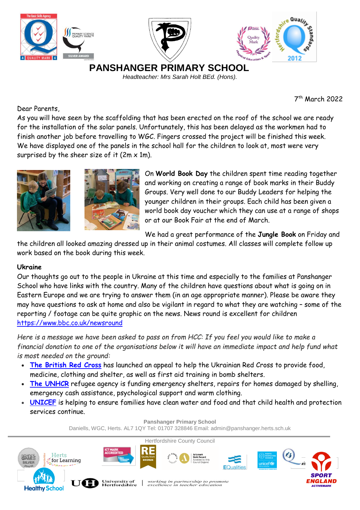

7 th March 2022

Dear Parents,

As you will have seen by the scaffolding that has been erected on the roof of the school we are ready for the installation of the solar panels. Unfortunately, this has been delayed as the workmen had to finish another job before travelling to WGC. Fingers crossed the project will be finished this week. We have displayed one of the panels in the school hall for the children to look at, most were very surprised by the sheer size of it  $(2m \times 1m)$ .





On **World Book Day** the children spent time reading together and working on creating a range of book marks in their Buddy Groups. Very well done to our Buddy Leaders for helping the younger children in their groups. Each child has been given a world book day voucher which they can use at a range of shops or at our Book Fair at the end of March.

We had a great performance of the **Jungle Book** on Friday and

the children all looked amazing dressed up in their animal costumes. All classes will complete follow up work based on the book during this week.

## **Ukraine**

Our thoughts go out to the people in Ukraine at this time and especially to the families at Panshanger School who have links with the country. Many of the children have questions about what is going on in Eastern Europe and we are trying to answer them (in an age appropriate manner). Please be aware they may have questions to ask at home and also be vigilant in regard to what they are watching – some of the reporting / footage can be quite graphic on the news. News round is excellent for children <https://www.bbc.co.uk/newsround>

Here is a message we have been asked to pass on from HCC: If you feel you would like to make a financial donation to one of the organisations below it will have an immediate impact and help fund what *is most needed on the ground:*

- **The [British](https://donate.redcross.org.uk/appeal/ukraine-crisis-appeal?c_code=175151&c_source=google&c_name=Ukraine%20Crisis%20Appeal&adg=pure%20brand&c_creative=brand&c_medium=cpc&gclid=CjwKCAiAyPyQBhB6EiwAFUuakl0OxIhc23C08zdATGesYcFlupz3g-OEY6adLxtf4aYbBXrQlaXCWRoCKIoQAvD_BwE) Red Cross** has launched an appeal to help the Ukrainian Red Cross to provide food, medicine, clothing and shelter, as well as first aid training in bomb shelters.
- **The [UNHCR](https://donate.unrefugees.org.uk/general/~my-donation?ns_ira_cr_arg=IyMjIyMjIyMjIyMjIyMjIyMjIyMjIyMjIyMjIyMjIyPW2NvLe7Rvpdo5tZgZc47Cs7JguC7cJpBwyUPamtL3vTdGUH9LWG1x8K9ck9mgVLLE9hZgN3gYJImAc5WQY1TprvWUAElrgzBGdOyPD8s8fx5iaUN2dpQkIMlB7KwKYeWw%2ByCxDMMRHkHPvqubmF0hCEZxDuXXGE9dB3xAp0U0WQ%3D%3D&gclid=CjwKCAiAyPyQBhB6EiwAFUuaknojVmNX9KgqnuR272GZBhW78k3sjDlbCkJ5coeLohlRH-QVHzOWVhoClcoQAvD_BwE&gclsrc=aw.ds&_cv=1)** refugee agency is funding emergency shelters, repairs for homes damaged by shelling, emergency cash assistance, psychological support and warm clothing.
- **[UNICEF](https://www.unicef.org.uk/donate/)** is helping to ensure families have clean water and food and that child health and protection services continue.

**Panshanger Primary School** Daniells, WGC, Herts. AL7 1QY Tel: 01707 328846 Email: admin@panshanger.herts.sch.uk